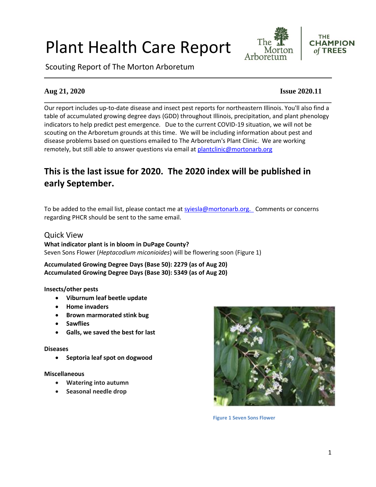# Plant Health Care Report







#### **Aug 21, 2020 Issue 2020.11**

**\_\_\_\_\_\_\_\_\_\_\_\_\_\_\_\_\_\_\_\_\_\_\_\_\_\_\_\_\_\_\_\_\_\_\_\_\_\_\_\_\_\_\_\_\_\_\_\_\_\_\_\_\_\_\_\_\_\_\_\_\_\_\_\_\_\_\_\_\_\_\_\_\_\_\_\_\_\_** Our report includes up-to-date disease and insect pest reports for northeastern Illinois. You'll also find a table of accumulated growing degree days (GDD) throughout Illinois, precipitation, and plant phenology indicators to help predict pest emergence. Due to the current COVID-19 situation, we will not be scouting on the Arboretum grounds at this time. We will be including information about pest and disease problems based on questions emailed to The Arboretum's Plant Clinic. We are working remotely, but still able to answer questions via email at [plantclinic@mortonarb.org](mailto:plantclinic@mortonarb.org)

## **This is the last issue for 2020. The 2020 index will be published in early September.**

To be added to the email list, please contact me at [syiesla@mortonarb.org.](mailto:syiesla@mortonarb.org) Comments or concerns regarding PHCR should be sent to the same email.

#### Quick View

**What indicator plant is in bloom in DuPage County?** Seven Sons Flower (*Heptacodium miconioides*) will be flowering soon (Figure 1)

**Accumulated Growing Degree Days (Base 50): 2279 (as of Aug 20) Accumulated Growing Degree Days (Base 30): 5349 (as of Aug 20)**

#### **Insects/other pests**

- **Viburnum leaf beetle update**
- **Home invaders**
- **Brown marmorated stink bug**
- **Sawflies**
- **Galls, we saved the best for last**

#### **Diseases**

• **Septoria leaf spot on dogwood**

#### **Miscellaneous**

- **Watering into autumn**
- **Seasonal needle drop**



**Figure 1 Seven Sons Flower**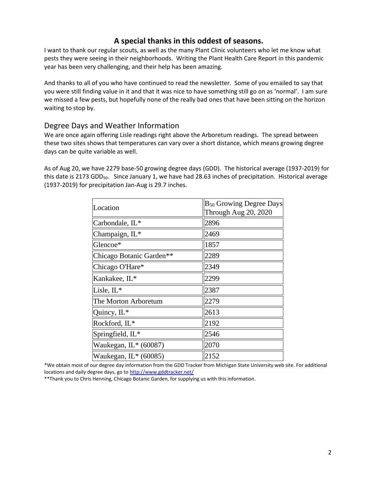#### **A special thanks in this oddest of seasons.**

I want to thank our regular scouts, as well as the many Plant Clinic volunteers who let me know what pests they were seeing in their neighborhoods. Writing the Plant Health Care Report in this pandemic year has been very challenging, and their help has been amazing.

And thanks to all of you who have continued to read the newsletter. Some of you emailed to say that you were still finding value in it and that it was nice to have something still go on as 'normal'. I am sure we missed a few pests, but hopefully none of the really bad ones that have been sitting on the horizon waiting to stop by.

#### Degree Days and Weather Information

We are once again offering Lisle readings right above the Arboretum readings. The spread between these two sites shows that temperatures can vary over a short distance, which means growing degree days can be quite variable as well.

As of Aug 20, we have 2279 base-50 growing degree days (GDD). The historical average (1937-2019) for this date is 2173 GDD<sub>50</sub>. Since January 1, we have had 28.63 inches of precipitation. Historical average (1937-2019) for precipitation Jan-Aug is 29.7 inches.

| Location                 | <b>B</b> <sub>50</sub> Growing Degree Days<br>Through Aug 20, 2020 |
|--------------------------|--------------------------------------------------------------------|
| Carbondale, IL*          | 2896                                                               |
| Champaign, IL*           | 2469                                                               |
| Glencoe*                 | 1857                                                               |
| Chicago Botanic Garden** | 2289                                                               |
| Chicago O'Hare*          | 2349                                                               |
| Kankakee, IL*            | 2299                                                               |
| Lisle, $IL^*$            | 2387                                                               |
| The Morton Arboretum     | 2279                                                               |
| Quincy, $IL^*$           | 2613                                                               |
| Rockford, IL*            | 2192                                                               |
| Springfield, IL*         | 2546                                                               |
| Waukegan, IL* (60087)    | 2070                                                               |
| Waukegan, IL* (60085)    | 2152                                                               |

\*We obtain most of our degree day information from the GDD Tracker from Michigan State University web site. For additional locations and daily degree days, go t[o http://www.gddtracker.net/](http://www.gddtracker.net/)

\*\*Thank you to Chris Henning, Chicago Botanic Garden, for supplying us with this information.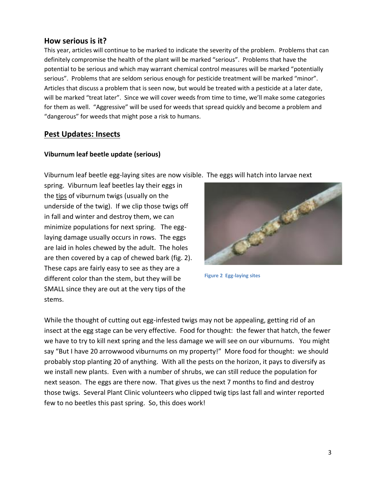#### **How serious is it?**

This year, articles will continue to be marked to indicate the severity of the problem. Problems that can definitely compromise the health of the plant will be marked "serious".Problems that have the potential to be serious and which may warrant chemical control measures will be marked "potentially serious". Problems that are seldom serious enough for pesticide treatment will be marked "minor". Articles that discuss a problem that is seen now, but would be treated with a pesticide at a later date, will be marked "treat later". Since we will cover weeds from time to time, we'll make some categories for them as well. "Aggressive" will be used for weeds that spread quickly and become a problem and "dangerous" for weeds that might pose a risk to humans.

#### **Pest Updates: Insects**

#### **Viburnum leaf beetle update (serious)**

Viburnum leaf beetle egg-laying sites are now visible. The eggs will hatch into larvae next<br>spring. Viburnum leaf beetles lay their eggs in<br>the <u>tips</u> of viburnum twigs (usually on the<br>underside of the twig). If we clip th spring. Viburnum leaf beetles lay their eggs in the tips of viburnum twigs (usually on the underside of the twig). If we clip those twigs off in fall and winter and destroy them, we can minimize populations for next spring. The egglaying damage usually occurs in rows. The eggs are laid in holes chewed by the adult. The holes are then covered by a cap of chewed bark (fig. 2). These caps are fairly easy to see as they are a different color than the stem, but they will be SMALL since they are out at the very tips of the stems.



**Figure 2 Egg-laying sites**

While the thought of cutting out egg-infested twigs may not be appealing, getting rid of an insect at the egg stage can be very effective. Food for thought: the fewer that hatch, the fewer we have to try to kill next spring and the less damage we will see on our viburnums. You might say "But I have 20 arrowwood viburnums on my property!" More food for thought: we should probably stop planting 20 of anything. With all the pests on the horizon, it pays to diversify as we install new plants. Even with a number of shrubs, we can still reduce the population for next season. The eggs are there now. That gives us the next 7 months to find and destroy those twigs. Several Plant Clinic volunteers who clipped twig tips last fall and winter reported few to no beetles this past spring. So, this does work!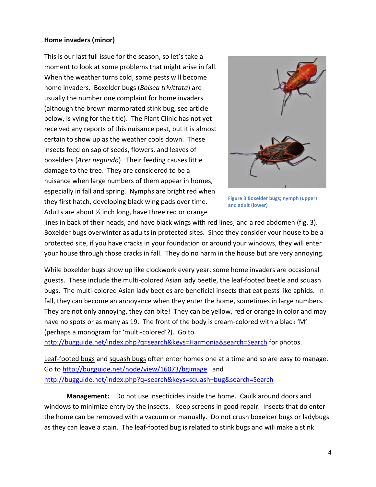#### **Home invaders (minor)**

This is our last full issue for the season, so let's take a moment to look at some problems that might arise in fall. When the weather turns cold, some pests will become home invaders. Boxelder bugs (*Boisea trivittata*) are usually the number one complaint for home invaders (although the brown marmorated stink bug, see article below, is vying for the title). The Plant Clinic has not yet received any reports of this nuisance pest, but it is almost certain to show up as the weather cools down. These insects feed on sap of seeds, flowers, and leaves of boxelders (*Acer negundo*). Their feeding causes little damage to the tree. They are considered to be a nuisance when large numbers of them appear in homes, especially in fall and spring. Nymphs are bright red when they first hatch, developing black wing pads over time. Adults are about ½ inch long, have three red or orange



**Figure 3 Boxelder bugs; nymph (upper) and adult (lower)**

lines in back of their heads, and have black wings with red lines, and a red abdomen (fig. 3). Boxelder bugs overwinter as adults in protected sites. Since they consider your house to be a protected site, if you have cracks in your foundation or around your windows, they will enter your house through those cracks in fall. They do no harm in the house but are very annoying.

While boxelder bugs show up like clockwork every year, some home invaders are occasional guests. These include the multi-colored Asian lady beetle, the leaf-footed beetle and squash bugs. The multi-colored Asian lady beetles are beneficial insects that eat pests like aphids. In fall, they can become an annoyance when they enter the home, sometimes in large numbers. They are not only annoying, they can bite! They can be yellow, red or orange in color and may have no spots or as many as 19. The front of the body is cream-colored with a black 'M' (perhaps a monogram for 'multi-colored'?). Go to

<http://bugguide.net/index.php?q=search&keys=Harmonia&search=Search> for photos.

Leaf-footed bugs and squash bugs often enter homes one at a time and so are easy to manage. Go t[o http://bugguide.net/node/view/16073/bgimage](http://bugguide.net/node/view/16073/bgimage) and <http://bugguide.net/index.php?q=search&keys=squash+bug&search=Search>

**Management:** Do not use insecticides inside the home. Caulk around doors and windows to minimize entry by the insects. Keep screens in good repair. Insects that do enter the home can be removed with a vacuum or manually. Do not crush boxelder bugs or ladybugs as they can leave a stain. The leaf-footed bug is related to stink bugs and will make a stink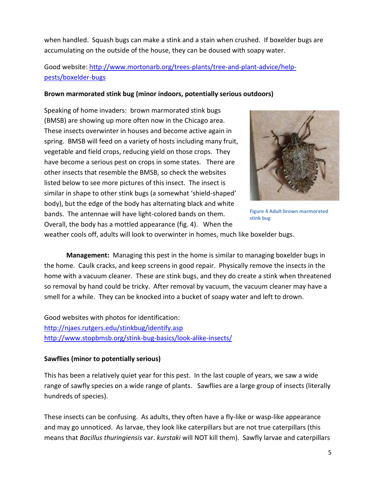when handled. Squash bugs can make a stink and a stain when crushed. If boxelder bugs are accumulating on the outside of the house, they can be doused with soapy water.

### Good website: [http://www.mortonarb.org/trees-plants/tree-and-plant-advice/help](http://www.mortonarb.org/trees-plants/tree-and-plant-advice/help-pests/boxelder-bugs)[pests/boxelder-bugs](http://www.mortonarb.org/trees-plants/tree-and-plant-advice/help-pests/boxelder-bugs)

#### **Brown marmorated stink bug (minor indoors, potentially serious outdoors)**

Speaking of home invaders: brown marmorated stink bugs (BMSB) are showing up more often now in the Chicago area. These insects overwinter in houses and become active again in spring. BMSB will feed on a variety of hosts including many fruit, vegetable and field crops, reducing yield on those crops. They have become a serious pest on crops in some states. There are other insects that resemble the BMSB, so check the websites listed below to see more pictures of this insect. The insect is similar in shape to other stink bugs (a somewhat 'shield-shaped' body), but the edge of the body has alternating black and white bands. The antennae will have light-colored bands on them. Overall, the body has a mottled appearance (fig. 4). When the



**Figure 4 Adult brown marmorated stink bug**

weather cools off, adults will look to overwinter in homes, much like boxelder bugs.

**Management:** Managing this pest in the home is similar to managing boxelder bugs in the home. Caulk cracks, and keep screens in good repair. Physically remove the insects in the home with a vacuum cleaner. These are stink bugs, and they do create a stink when threatened so removal by hand could be tricky. After removal by vacuum, the vacuum cleaner may have a smell for a while. They can be knocked into a bucket of soapy water and left to drown.

Good websites with photos for identification: <http://njaes.rutgers.edu/stinkbug/identify.asp> <http://www.stopbmsb.org/stink-bug-basics/look-alike-insects/>

#### **Sawflies (minor to potentially serious)**

This has been a relatively quiet year for this pest. In the last couple of years, we saw a wide range of sawfly species on a wide range of plants. Sawflies are a large group of insects (literally hundreds of species).

These insects can be confusing. As adults, they often have a fly-like or wasp-like appearance and may go unnoticed. As larvae, they look like caterpillars but are not true caterpillars (this means that *Bacillus thuringiensis* var. *kurstaki* will NOT kill them). Sawfly larvae and caterpillars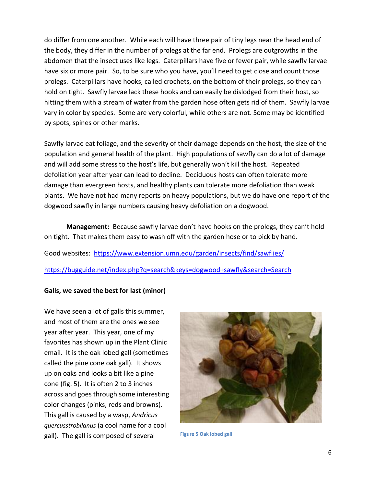do differ from one another. While each will have three pair of tiny legs near the head end of the body, they differ in the number of prolegs at the far end. Prolegs are outgrowths in the abdomen that the insect uses like legs. Caterpillars have five or fewer pair, while sawfly larvae have six or more pair. So, to be sure who you have, you'll need to get close and count those prolegs. Caterpillars have hooks, called crochets, on the bottom of their prolegs, so they can hold on tight. Sawfly larvae lack these hooks and can easily be dislodged from their host, so hitting them with a stream of water from the garden hose often gets rid of them. Sawfly larvae vary in color by species. Some are very colorful, while others are not. Some may be identified by spots, spines or other marks.

Sawfly larvae eat foliage, and the severity of their damage depends on the host, the size of the population and general health of the plant. High populations of sawfly can do a lot of damage and will add some stress to the host's life, but generally won't kill the host. Repeated defoliation year after year can lead to decline. Deciduous hosts can often tolerate more damage than evergreen hosts, and healthy plants can tolerate more defoliation than weak plants. We have not had many reports on heavy populations, but we do have one report of the dogwood sawfly in large numbers causing heavy defoliation on a dogwood.

**Management:** Because sawfly larvae don't have hooks on the prolegs, they can't hold on tight. That makes them easy to wash off with the garden hose or to pick by hand.

Good websites: <https://www.extension.umn.edu/garden/insects/find/sawflies/> <https://bugguide.net/index.php?q=search&keys=dogwood+sawfly&search=Search>

#### **Galls, we saved the best for last (minor)**

We have seen a lot of galls this summer, and most of them are the ones we see year after year. This year, one of my favorites has shown up in the Plant Clinic email. It is the oak lobed gall (sometimes called the pine cone oak gall). It shows up on oaks and looks a bit like a pine cone (fig. 5). It is often 2 to 3 inches across and goes through some interesting color changes (pinks, reds and browns). This gall is caused by a wasp, *Andricus quercusstrobilanus* (a cool name for a cool gall). The gall is composed of several



**Figure 5 Oak lobed gall**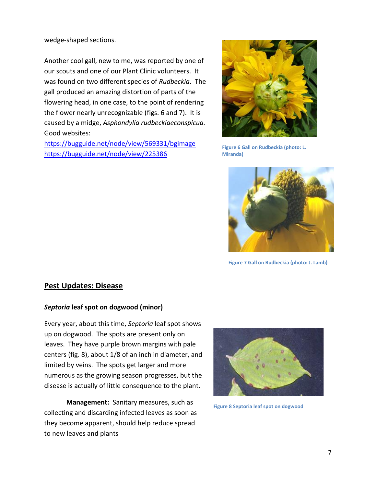wedge-shaped sections.

Another cool gall, new to me, was reported by one of our scouts and one of our Plant Clinic volunteers. It was found on two different species of *Rudbeckia*. The gall produced an amazing distortion of parts of the flowering head, in one case, to the point of rendering the flower nearly unrecognizable (figs. 6 and 7). It is caused by a midge, *Asphondylia rudbeckiaeconspicua.* Good websites:

<https://bugguide.net/node/view/569331/bgimage> <https://bugguide.net/node/view/225386>



**Figure 6 Gall on Rudbeckia (photo: L. Miranda)**



**Figure 7 Gall on Rudbeckia (photo: J. Lamb)**

#### **Pest Updates: Disease**

#### *Septoria* **leaf spot on dogwood (minor)**

Every year, about this time, *Septoria* leaf spot shows up on dogwood. The spots are present only on leaves. They have purple brown margins with pale centers (fig. 8), about 1/8 of an inch in diameter, and limited by veins. The spots get larger and more numerous as the growing season progresses, but the disease is actually of little consequence to the plant.

**Management:** Sanitary measures, such as collecting and discarding infected leaves as soon as they become apparent, should help reduce spread to new leaves and plants



**Figure 8 Septoria leaf spot on dogwood**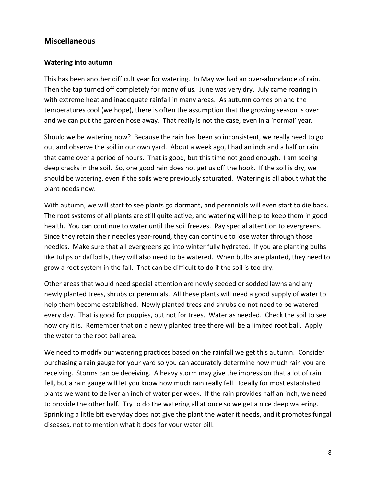#### **Miscellaneous**

#### **Watering into autumn**

This has been another difficult year for watering. In May we had an over-abundance of rain. Then the tap turned off completely for many of us. June was very dry. July came roaring in with extreme heat and inadequate rainfall in many areas. As autumn comes on and the temperatures cool (we hope), there is often the assumption that the growing season is over and we can put the garden hose away. That really is not the case, even in a 'normal' year.

Should we be watering now? Because the rain has been so inconsistent, we really need to go out and observe the soil in our own yard. About a week ago, I had an inch and a half or rain that came over a period of hours. That is good, but this time not good enough. I am seeing deep cracks in the soil. So, one good rain does not get us off the hook. If the soil is dry, we should be watering, even if the soils were previously saturated. Watering is all about what the plant needs now.

With autumn, we will start to see plants go dormant, and perennials will even start to die back. The root systems of all plants are still quite active, and watering will help to keep them in good health. You can continue to water until the soil freezes. Pay special attention to evergreens. Since they retain their needles year-round, they can continue to lose water through those needles. Make sure that all evergreens go into winter fully hydrated. If you are planting bulbs like tulips or daffodils, they will also need to be watered. When bulbs are planted, they need to grow a root system in the fall. That can be difficult to do if the soil is too dry.

Other areas that would need special attention are newly seeded or sodded lawns and any newly planted trees, shrubs or perennials. All these plants will need a good supply of water to help them become established. Newly planted trees and shrubs do not need to be watered every day. That is good for puppies, but not for trees. Water as needed. Check the soil to see how dry it is. Remember that on a newly planted tree there will be a limited root ball. Apply the water to the root ball area.

We need to modify our watering practices based on the rainfall we get this autumn. Consider purchasing a rain gauge for your yard so you can accurately determine how much rain you are receiving. Storms can be deceiving. A heavy storm may give the impression that a lot of rain fell, but a rain gauge will let you know how much rain really fell. Ideally for most established plants we want to deliver an inch of water per week. If the rain provides half an inch, we need to provide the other half. Try to do the watering all at once so we get a nice deep watering. Sprinkling a little bit everyday does not give the plant the water it needs, and it promotes fungal diseases, not to mention what it does for your water bill.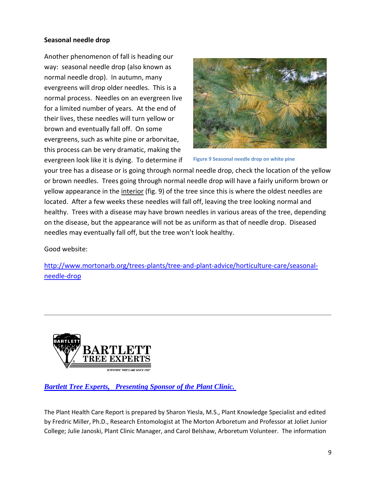#### **Seasonal needle drop**

Another phenomenon of fall is heading our way: seasonal needle drop (also known as normal needle drop). In autumn, many evergreens will drop older needles. This is a normal process. Needles on an evergreen live for a limited number of years. At the end of their lives, these needles will turn yellow or brown and eventually fall off. On some evergreens, such as white pine or arborvitae, this process can be very dramatic, making the evergreen look like it is dying. To determine if



**Figure 9 Seasonal needle drop on white pine**

your tree has a disease or is going through normal needle drop, check the location of the yellow or brown needles. Trees going through normal needle drop will have a fairly uniform brown or yellow appearance in the *interior* (fig. 9) of the tree since this is where the oldest needles are located. After a few weeks these needles will fall off, leaving the tree looking normal and healthy. Trees with a disease may have brown needles in various areas of the tree, depending on the disease, but the appearance will not be as uniform as that of needle drop. Diseased needles may eventually fall off, but the tree won't look healthy.

Good website:

[http://www.mortonarb.org/trees-plants/tree-and-plant-advice/horticulture-care/seasonal](http://www.mortonarb.org/trees-plants/tree-and-plant-advice/horticulture-care/seasonal-needle-drop)[needle-drop](http://www.mortonarb.org/trees-plants/tree-and-plant-advice/horticulture-care/seasonal-needle-drop)



*[Bartlett Tree Experts, Presenting Sponsor of the Plant Clinic.](http://www.bartlett.com/)*

The Plant Health Care Report is prepared by Sharon Yiesla, M.S., Plant Knowledge Specialist and edited by Fredric Miller, Ph.D., Research Entomologist at The Morton Arboretum and Professor at Joliet Junior College; Julie Janoski, Plant Clinic Manager, and Carol Belshaw, Arboretum Volunteer. The information